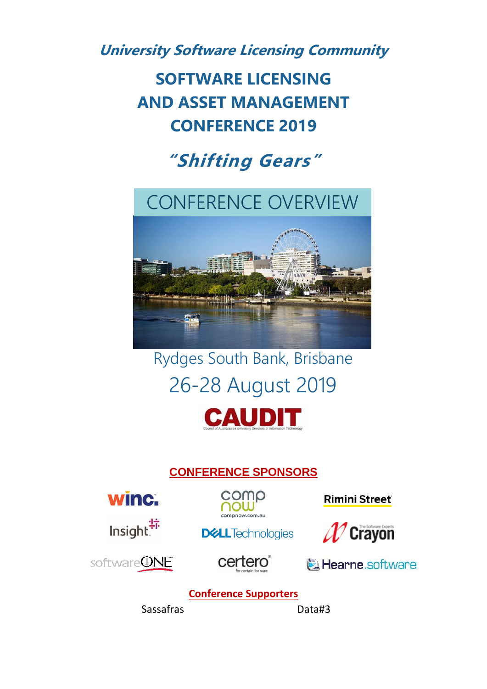**University Software Licensing Community**

**SOFTWARE LICENSING AND ASSET MANAGEMENT CONFERENCE 2019**

# **"Shifting Gears"**

## CONFERENCE OVERVIEW



# Rydges South Bank, Brisbane 26-28 August 2019



## **CONFERENCE SPONSORS**



Insight.<sup>"</sup>



**Rimini Street** 







**DELL**Technologies

Learne.software

### **Conference Supporters**

Sassafras Data#3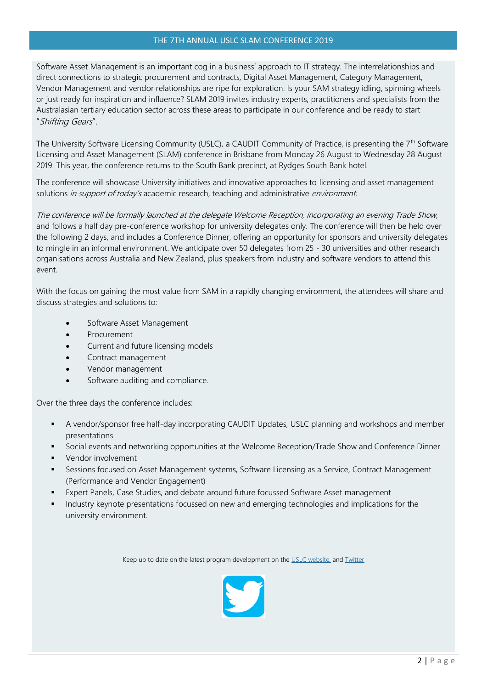#### THE 7TH ANNUAL USLC SLAM CONFERENCE 2019

Software Asset Management is an important cog in a business' approach to IT strategy. The interrelationships and direct connections to strategic procurement and contracts, Digital Asset Management, Category Management, Vendor Management and vendor relationships are ripe for exploration. Is your SAM strategy idling, spinning wheels or just ready for inspiration and influence? SLAM 2019 invites industry experts, practitioners and specialists from the Australasian tertiary education sector across these areas to participate in our conference and be ready to start "Shifting Gears".

The University Software Licensing Community (USLC), a CAUDIT Community of Practice, is presenting the  $7<sup>th</sup>$  Software Licensing and Asset Management (SLAM) conference in Brisbane from Monday 26 August to Wednesday 28 August 2019. This year, the conference returns to the South Bank precinct, at Rydges South Bank hotel.

The conference will showcase University initiatives and innovative approaches to licensing and asset management solutions in support of today's academic research, teaching and administrative environment.

The conference will be formally launched at the delegate Welcome Reception, incorporating an evening Trade Show, and follows a half day pre-conference workshop for university delegates only. The conference will then be held over the following 2 days, and includes a Conference Dinner, offering an opportunity for sponsors and university delegates to mingle in an informal environment. We anticipate over 50 delegates from 25 - 30 universities and other research organisations across Australia and New Zealand, plus speakers from industry and software vendors to attend this event.

With the focus on gaining the most value from SAM in a rapidly changing environment, the attendees will share and discuss strategies and solutions to:

- Software Asset Management
- **Procurement**
- Current and future licensing models
- Contract management
- Vendor management
- Software auditing and compliance.

Over the three days the conference includes:

- **■** A vendor/sponsor free half-day incorporating CAUDIT Updates, USLC planning and workshops and member presentations
- Social events and networking opportunities at the Welcome Reception/Trade Show and Conference Dinner
- Vendor involvement
- Sessions focused on Asset Management systems, Software Licensing as a Service, Contract Management (Performance and Vendor Engagement)
- Expert Panels, Case Studies, and debate around future focussed Software Asset management
- Industry keynote presentations focussed on new and emerging technologies and implications for the university environment.

Keep up to date on the latest program development on the [USLC website,](https://www.uslc.edu.au/slam2019) and [Twitter](https://twitter.com/Caudit_USLC)

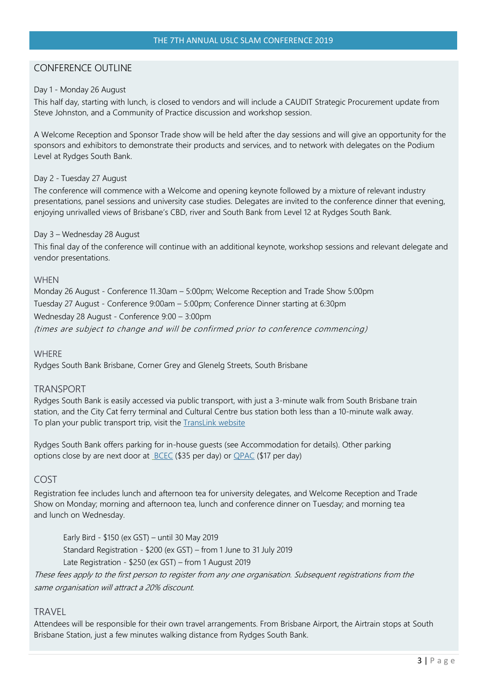#### CONFERENCE OUTLINE

#### Day 1 - Monday 26 August

This half day, starting with lunch, is closed to vendors and will include a CAUDIT Strategic Procurement update from Steve Johnston, and a Community of Practice discussion and workshop session.

A Welcome Reception and Sponsor Trade show will be held after the day sessions and will give an opportunity for the sponsors and exhibitors to demonstrate their products and services, and to network with delegates on the Podium Level at Rydges South Bank.

#### Day 2 - Tuesday 27 August

The conference will commence with a Welcome and opening keynote followed by a mixture of relevant industry presentations, panel sessions and university case studies. Delegates are invited to the conference dinner that evening, enjoying unrivalled views of Brisbane's CBD, river and South Bank from Level 12 at Rydges South Bank.

#### Day 3 – Wednesday 28 August

This final day of the conference will continue with an additional keynote, workshop sessions and relevant delegate and vendor presentations.

#### **WHEN**

Monday 26 August - Conference 11.30am – 5:00pm; Welcome Reception and Trade Show 5:00pm Tuesday 27 August - Conference 9:00am – 5:00pm; Conference Dinner starting at 6:30pm Wednesday 28 August - Conference 9:00 – 3:00pm (times are subject to change and will be confirmed prior to conference commencing)

#### **WHERE**

Rydges South Bank Brisbane, Corner Grey and Glenelg Streets, South Brisbane

#### TRANSPORT

Rydges South Bank is easily accessed via public transport, with just a 3-minute walk from South Brisbane train station, and the City Cat ferry terminal and Cultural Centre bus station both less than a 10-minute walk away. To plan your public transport trip, visit the **TransLink** website

Rydges South Bank offers parking for in-house guests (see Accommodation for details). Other parking options close by are next door at **BCEC** (\$35 per day) or **[QPAC](http://www.arts.qld.gov.au/new-performing-arts-venue/arts-queensland/visit-brisbanes-cultural-precinct)** (\$17 per day)

#### COST

Registration fee includes lunch and afternoon tea for university delegates, and Welcome Reception and Trade Show on Monday; morning and afternoon tea, lunch and conference dinner on Tuesday; and morning tea and lunch on Wednesday.

Early Bird - \$150 (ex GST) – until 30 May 2019 Standard Registration - \$200 (ex GST) – from 1 June to 31 July 2019 Late Registration - \$250 (ex GST) – from 1 August 2019

These fees apply to the first person to register from any one organisation. Subsequent registrations from the same organisation will attract a 20% discount.

#### **TRAVEL**

Attendees will be responsible for their own travel arrangements. From Brisbane Airport, the Airtrain stops at South Brisbane Station, just a few minutes walking distance from Rydges South Bank.